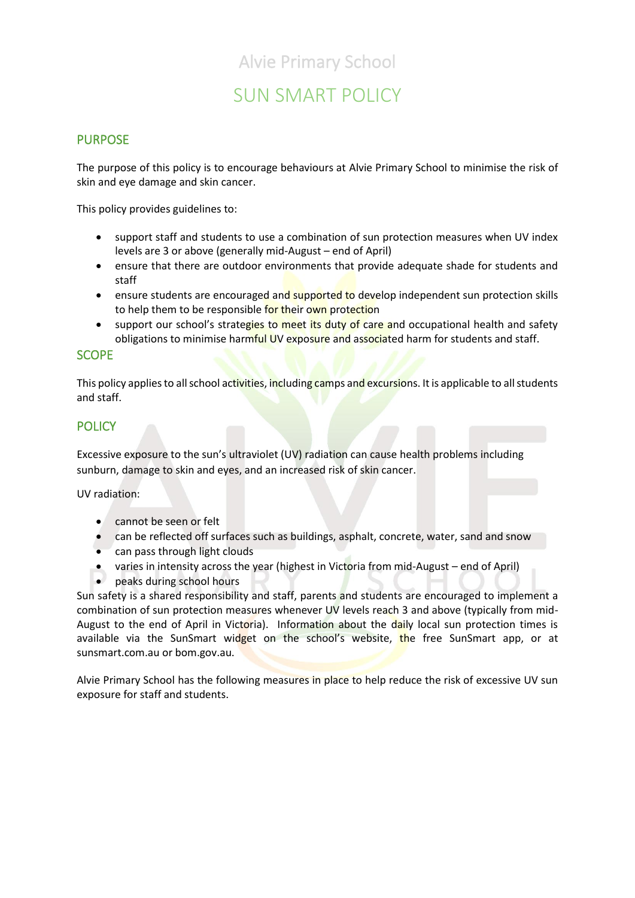## Alvie Primary School

# SUN SMART POLICY

### PURPOSE

The purpose of this policy is to encourage behaviours at Alvie Primary School to minimise the risk of skin and eye damage and skin cancer.

This policy provides guidelines to:

- support staff and students to use a combination of sun protection measures when UV index levels are 3 or above (generally mid-August – end of April)
- ensure that there are outdoor environments that provide adequate shade for students and staff
- ensure students are encouraged and supported to develop independent sun protection skills to help them to be responsible for their own protection
- support our school's strategies to meet its duty of care and occupational health and safety obligations to minimise harmful UV exposure and associated harm for students and staff.

#### **SCOPE**

This policy applies to all school activities, including camps and excursions. It is applicable to all students and staff.

## **POLICY**

Excessive exposure to the sun's ultraviolet (UV) radiation can cause health problems including sunburn, damage to skin and eyes, and an increased risk of skin cancer.

UV radiation:

- cannot be seen or felt
- can be reflected off surfaces such as buildings, asphalt, concrete, water, sand and snow
- can pass through light clouds
- varies in intensity across the year (highest in Victoria from mid-August end of April)
- peaks during school hours

Sun safety is a shared responsibility and staff, parents and students are encouraged to implement a combination of sun protection measures whenever UV levels reach 3 and above (typically from mid-August to the end of April in Victoria). Information about the daily local sun protection times is available via the [SunSmart widget](http://www.sunsmart.com.au/uv-sun-protection/uv/uv-widget) on the school's website, the free [SunSmart app,](http://www.sunsmart.com.au/tools/interactive-tools/free-sunsmart-app) or at [sunsmart.com.au](http://www.sunsmart.com.au/) or bom.gov.au.

Alvie Primary School has the following measures in place to help reduce the risk of excessive UV sun exposure for staff and students.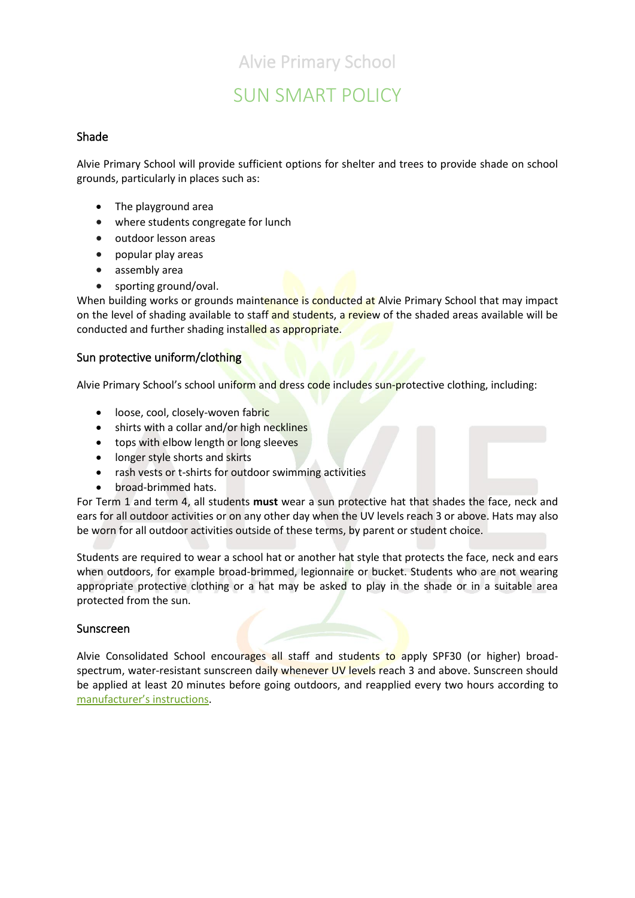# Alvie Primary School

# SUN SMART POLICY

#### Shade

Alvie Primary School will provide sufficient options for shelter and trees to provide shade on school grounds, particularly in places such as:

- The playground area
- where students congregate for lunch
- outdoor lesson areas
- popular play areas
- assembly area
- sporting ground/oval.

When building works or grounds maintenance is conducted at Alvie Primary School that may impact on the level of shading available to staff and students, a review of the shaded areas available will be conducted and further shading installed as appropriate.

#### Sun protective uniform/clothing

Alvie Primary School's school uniform and dress code includes sun-protective clothing, including:

- loose, cool, closely-woven fabric
- shirts with a collar and/or high necklines
- tops with elbow length or long sleeves
- longer style shorts and skirts
- rash vests or t-shirts for outdoor swimming activities
- broad-brimmed hats.

For Term 1 and term 4, all students **must** wear a sun protective hat that shades the face, neck and ears for all outdoor activities or on any other day when the UV levels reach 3 or above. Hats may also be worn for all outdoor activities outside of these terms, by parent or student choice.

Students are required to wear a school hat or another hat style that protects the face, neck and ears when outdoors, for example broad-brimmed, legionnaire or bucket. Students who are not wearing appropriate protective clothing or a hat may be asked to play in the shade or in a suitable area protected from the sun.

#### Sunscreen

Alvie Consolidated School encourages all staff and students to apply SPF30 (or higher) broadspectrum, water-resistant sunscreen daily whenever UV levels reach 3 and above. Sunscreen should be applied at least 20 minutes before going outdoors, and reapplied every two hours according to [manufacturer's instructions](https://www.tga.gov.au/book/4-labelling-and-advertising).